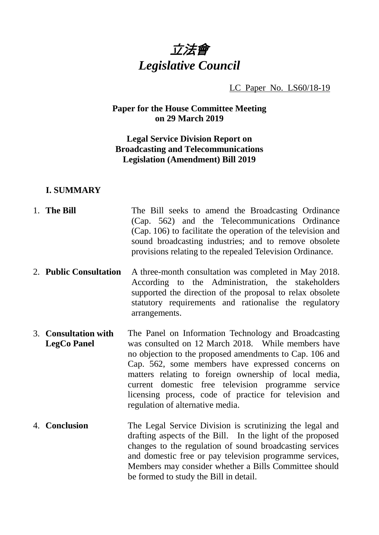

LC Paper No. LS60/18-19

**Paper for the House Committee Meeting on 29 March 2019**

## **Legal Service Division Report on Broadcasting and Telecommunications Legislation (Amendment) Bill 2019**

#### **I. SUMMARY**

- 1. **The Bill** The Bill seeks to amend the Broadcasting Ordinance (Cap. 562) and the Telecommunications Ordinance (Cap. 106) to facilitate the operation of the television and sound broadcasting industries; and to remove obsolete provisions relating to the repealed Television Ordinance.
- 2. **Public Consultation** A three-month consultation was completed in May 2018. According to the Administration, the stakeholders supported the direction of the proposal to relax obsolete statutory requirements and rationalise the regulatory arrangements.
- 3. **Consultation with LegCo Panel** The Panel on Information Technology and Broadcasting was consulted on 12 March 2018. While members have no objection to the proposed amendments to Cap. 106 and Cap. 562, some members have expressed concerns on matters relating to foreign ownership of local media, current domestic free television programme service licensing process, code of practice for television and regulation of alternative media.
- 4. **Conclusion** The Legal Service Division is scrutinizing the legal and drafting aspects of the Bill. In the light of the proposed changes to the regulation of sound broadcasting services and domestic free or pay television programme services, Members may consider whether a Bills Committee should be formed to study the Bill in detail.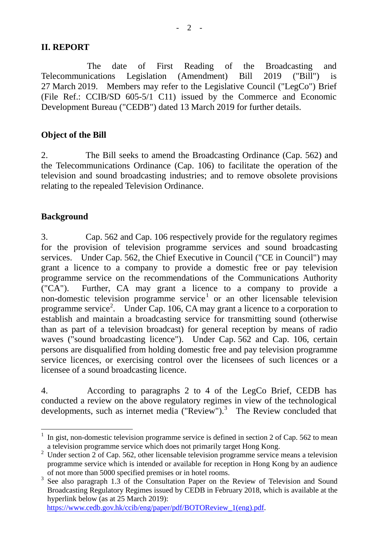## **II. REPORT**

The date of First Reading of the Broadcasting and Telecommunications Legislation (Amendment) Bill 2019 ("Bill") is 27 March 2019. Members may refer to the Legislative Council ("LegCo") Brief (File Ref.: CCIB/SD 605-5/1 C11) issued by the Commerce and Economic Development Bureau ("CEDB") dated 13 March 2019 for further details.

### **Object of the Bill**

2. The Bill seeks to amend the Broadcasting Ordinance (Cap. 562) and the Telecommunications Ordinance (Cap. 106) to facilitate the operation of the television and sound broadcasting industries; and to remove obsolete provisions relating to the repealed Television Ordinance.

### **Background**

3. Cap. 562 and Cap. 106 respectively provide for the regulatory regimes for the provision of television programme services and sound broadcasting services. Under Cap. 562, the Chief Executive in Council ("CE in Council") may grant a licence to a company to provide a domestic free or pay television programme service on the recommendations of the Communications Authority ("CA"). Further, CA may grant a licence to a company to provide a non-domestic television programme service<sup>[1](#page-1-0)</sup> or an other licensable television programme service<sup>[2](#page-1-1)</sup>. Under Cap. 106, CA may grant a licence to a corporation to establish and maintain a broadcasting service for transmitting sound (otherwise than as part of a television broadcast) for general reception by means of radio waves ("sound broadcasting licence"). Under Cap. 562 and Cap. 106, certain persons are disqualified from holding domestic free and pay television programme service licences, or exercising control over the licensees of such licences or a licensee of a sound broadcasting licence.

4. According to paragraphs 2 to 4 of the LegCo Brief, CEDB has conducted a review on the above regulatory regimes in view of the technological developments, such as internet media ("Review").<sup>[3](#page-1-2)</sup> The Review concluded that

[https://www.cedb.gov.hk/ccib/eng/paper/pdf/BOTOReview\\_1\(eng\).pdf.](https://www.cedb.gov.hk/ccib/eng/paper/pdf/BOTOReview_1(eng).pdf)

<span id="page-1-0"></span>In gist, non-domestic television programme service is defined in section 2 of Cap. 562 to mean a television programme service which does not primarily target Hong Kong.

<span id="page-1-1"></span> $2$  Under section 2 of Cap. 562, other licensable television programme service means a television programme service which is intended or available for reception in Hong Kong by an audience of not more than 5000 specified premises or in hotel rooms.

<span id="page-1-2"></span> $3$  See also paragraph 1.3 of the Consultation Paper on the Review of Television and Sound Broadcasting Regulatory Regimes issued by CEDB in February 2018, which is available at the hyperlink below (as at 25 March 2019):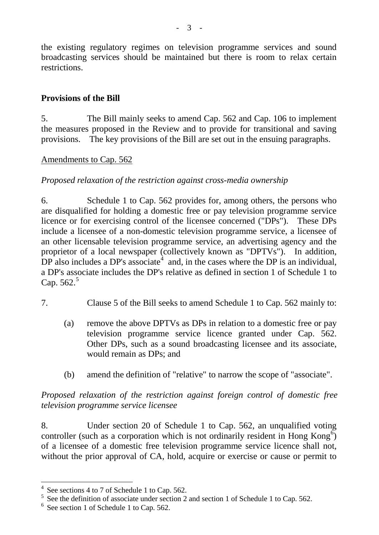the existing regulatory regimes on television programme services and sound broadcasting services should be maintained but there is room to relax certain restrictions.

# **Provisions of the Bill**

5. The Bill mainly seeks to amend Cap. 562 and Cap. 106 to implement the measures proposed in the Review and to provide for transitional and saving provisions. The key provisions of the Bill are set out in the ensuing paragraphs.

# Amendments to Cap. 562

# *Proposed relaxation of the restriction against cross-media ownership*

6. Schedule 1 to Cap. 562 provides for, among others, the persons who are disqualified for holding a domestic free or pay television programme service licence or for exercising control of the licensee concerned ("DPs"). These DPs include a licensee of a non-domestic television programme service, a licensee of an other licensable television programme service, an advertising agency and the proprietor of a local newspaper (collectively known as "DPTVs"). In addition, DP also includes a DP's associate<sup>[4](#page-2-0)</sup> and, in the cases where the DP is an individual, a DP's associate includes the DP's relative as defined in section 1 of Schedule 1 to Cap. [5](#page-2-1)62.<sup>5</sup>

- 7. Clause 5 of the Bill seeks to amend Schedule 1 to Cap. 562 mainly to:
	- (a) remove the above DPTVs as DPs in relation to a domestic free or pay television programme service licence granted under Cap. 562. Other DPs, such as a sound broadcasting licensee and its associate, would remain as DPs; and
	- (b) amend the definition of "relative" to narrow the scope of "associate".

# *Proposed relaxation of the restriction against foreign control of domestic free television programme service licensee*

8. Under section 20 of Schedule 1 to Cap. 562, an unqualified voting controller (such as a corporation which is not ordinarily resident in Hong Kong<sup>[6](#page-2-2)</sup>) of a licensee of a domestic free television programme service licence shall not, without the prior approval of CA, hold, acquire or exercise or cause or permit to

See sections 4 to 7 of Schedule 1 to Cap. 562.

<span id="page-2-1"></span><span id="page-2-0"></span><sup>&</sup>lt;sup>5</sup> See the definition of associate under section 2 and section 1 of Schedule 1 to Cap. 562.

<span id="page-2-2"></span> $6$  See section 1 of Schedule 1 to Cap. 562.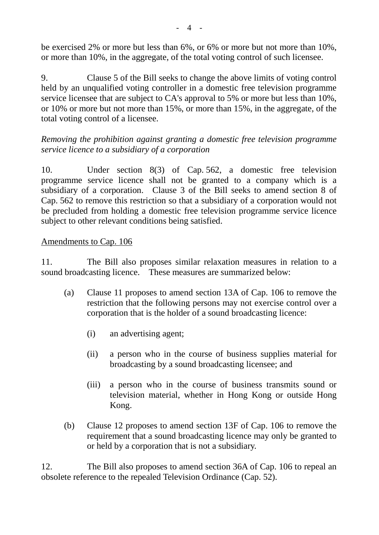be exercised 2% or more but less than 6%, or 6% or more but not more than 10%, or more than 10%, in the aggregate, of the total voting control of such licensee.

9. Clause 5 of the Bill seeks to change the above limits of voting control held by an unqualified voting controller in a domestic free television programme service licensee that are subject to CA's approval to 5% or more but less than 10%, or 10% or more but not more than 15%, or more than 15%, in the aggregate, of the total voting control of a licensee.

*Removing the prohibition against granting a domestic free television programme service licence to a subsidiary of a corporation*

10. Under section 8(3) of Cap. 562, a domestic free television programme service licence shall not be granted to a company which is a subsidiary of a corporation. Clause 3 of the Bill seeks to amend section 8 of Cap. 562 to remove this restriction so that a subsidiary of a corporation would not be precluded from holding a domestic free television programme service licence subject to other relevant conditions being satisfied.

## Amendments to Cap. 106

11. The Bill also proposes similar relaxation measures in relation to a sound broadcasting licence. These measures are summarized below:

- (a) Clause 11 proposes to amend section 13A of Cap. 106 to remove the restriction that the following persons may not exercise control over a corporation that is the holder of a sound broadcasting licence:
	- (i) an advertising agent;
	- (ii) a person who in the course of business supplies material for broadcasting by a sound broadcasting licensee; and
	- (iii) a person who in the course of business transmits sound or television material, whether in Hong Kong or outside Hong Kong.
- (b) Clause 12 proposes to amend section 13F of Cap. 106 to remove the requirement that a sound broadcasting licence may only be granted to or held by a corporation that is not a subsidiary.

12. The Bill also proposes to amend section 36A of Cap. 106 to repeal an obsolete reference to the repealed Television Ordinance (Cap. 52).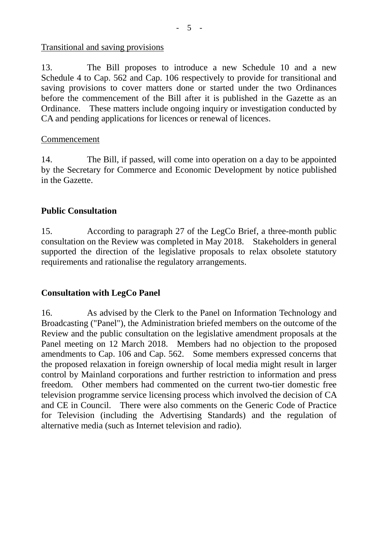### Transitional and saving provisions

13. The Bill proposes to introduce a new Schedule 10 and a new Schedule 4 to Cap. 562 and Cap. 106 respectively to provide for transitional and saving provisions to cover matters done or started under the two Ordinances before the commencement of the Bill after it is published in the Gazette as an Ordinance. These matters include ongoing inquiry or investigation conducted by CA and pending applications for licences or renewal of licences.

### Commencement

14. The Bill, if passed, will come into operation on a day to be appointed by the Secretary for Commerce and Economic Development by notice published in the Gazette.

# **Public Consultation**

15. According to paragraph 27 of the LegCo Brief, a three-month public consultation on the Review was completed in May 2018. Stakeholders in general supported the direction of the legislative proposals to relax obsolete statutory requirements and rationalise the regulatory arrangements.

## **Consultation with LegCo Panel**

16. As advised by the Clerk to the Panel on Information Technology and Broadcasting ("Panel"), the Administration briefed members on the outcome of the Review and the public consultation on the legislative amendment proposals at the Panel meeting on 12 March 2018. Members had no objection to the proposed amendments to Cap. 106 and Cap. 562. Some members expressed concerns that the proposed relaxation in foreign ownership of local media might result in larger control by Mainland corporations and further restriction to information and press freedom. Other members had commented on the current two-tier domestic free television programme service licensing process which involved the decision of CA and CE in Council. There were also comments on the Generic Code of Practice for Television (including the Advertising Standards) and the regulation of alternative media (such as Internet television and radio).